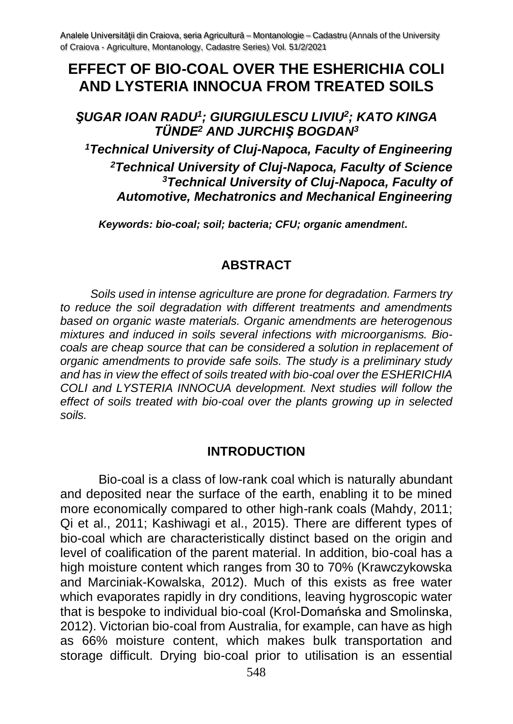Analele Universității din Craiova, seria Agricultură – Montanologie – Cadastru (Annals of the University of Craiova - Agriculture, Montanology, Cadastre Series) Vol. 51/2/2021

# **EFFECT OF BIO-COAL OVER THE ESHERICHIA COLI AND LYSTERIA INNOCUA FROM TREATED SOILS**

## *ŞUGAR IOAN RADU<sup>1</sup> ; GIURGIULESCU LIVIU<sup>2</sup> ; KATO KINGA TÜNDE<sup>2</sup> AND JURCHIŞ BOGDAN<sup>3</sup>*

*Technical University of Cluj-Napoca, Faculty of Engineering Technical University of Cluj-Napoca, Faculty of Science Technical University of Cluj-Napoca, Faculty of Automotive, Mechatronics and Mechanical Engineering*

*Keywords: bio-coal; soil; bacteria; CFU; organic amendment.*

#### **ABSTRACT**

*Soils used in intense agriculture are prone for degradation. Farmers try to reduce the soil degradation with different treatments and amendments based on organic waste materials. Organic amendments are heterogenous mixtures and induced in soils several infections with microorganisms. Biocoals are cheap source that can be considered a solution in replacement of organic amendments to provide safe soils. The study is a preliminary study and has in view the effect of soils treated with bio-coal over the ESHERICHIA COLI and LYSTERIA INNOCUA development. Next studies will follow the effect of soils treated with bio-coal over the plants growing up in selected soils.*

#### **INTRODUCTION**

Bio-coal is a class of low-rank coal which is naturally abundant and deposited near the surface of the earth, enabling it to be mined more economically compared to other high-rank coals (Mahdy, 2011; Qi et al., 2011; Kashiwagi et al., 2015). There are different types of bio-coal which are characteristically distinct based on the origin and level of coalification of the parent material. In addition, bio-coal has a high moisture content which ranges from 30 to 70% (Krawczykowska and Marciniak-Kowalska, 2012). Much of this exists as free water which evaporates rapidly in dry conditions, leaving hygroscopic water that is bespoke to individual bio-coal (Krol-Domańska and Smolinska, 2012). Victorian bio-coal from Australia, for example, can have as high as 66% moisture content, which makes bulk transportation and storage difficult. Drying bio-coal prior to utilisation is an essential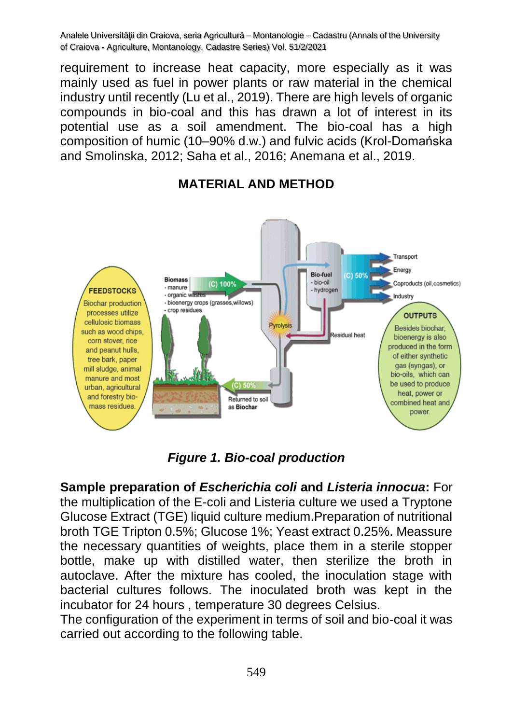Analele Universității din Craiova, seria Agricultură – Montanologie – Cadastru (Annals of the University of Craiova - Agriculture, Montanology, Cadastre Series) Vol. 51/2/2021

requirement to increase heat capacity, more especially as it was mainly used as fuel in power plants or raw material in the chemical industry until recently (Lu et al., 2019). There are high levels of organic compounds in bio-coal and this has drawn a lot of interest in its potential use as a soil amendment. The bio-coal has a high composition of humic (10–90% d.w.) and fulvic acids (Krol-Domańska and Smolinska, 2012; Saha et al., 2016; Anemana et al., 2019.



## **MATERIAL AND METHOD**

*Figure 1. Bio-coal production*

**Sample preparation of** *Escherichia coli* **and** *Listeria innocua***:** For the multiplication of the E-coli and Listeria culture we used a Tryptone Glucose Extract (TGE) liquid culture medium.Preparation of nutritional broth TGE Tripton 0.5%; Glucose 1%; Yeast extract 0.25%. Meassure the necessary quantities of weights, place them in a sterile stopper bottle, make up with distilled water, then sterilize the broth in autoclave. After the mixture has cooled, the inoculation stage with bacterial cultures follows. The inoculated broth was kept in the incubator for 24 hours , temperature 30 degrees Celsius.

The configuration of the experiment in terms of soil and bio-coal it was carried out according to the following table.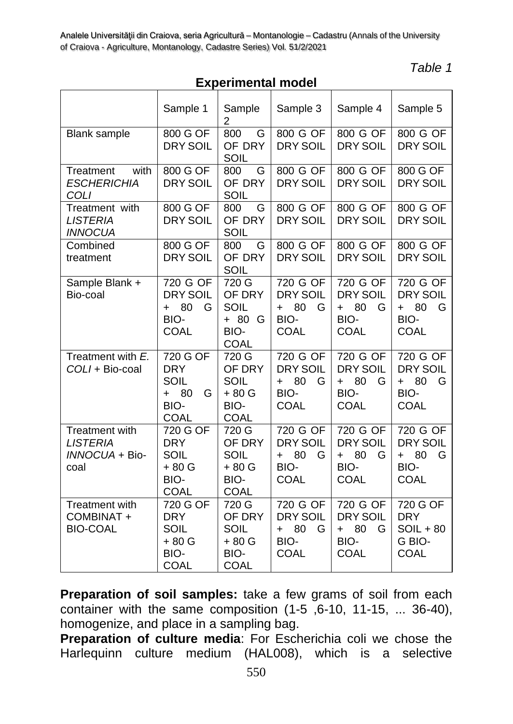*Table 1*

## **Experimental model**

| Experimental moder                                          |                                                                            |                                                          |                                                                            |                                                                        |                                                                      |
|-------------------------------------------------------------|----------------------------------------------------------------------------|----------------------------------------------------------|----------------------------------------------------------------------------|------------------------------------------------------------------------|----------------------------------------------------------------------|
|                                                             | Sample 1                                                                   | Sample<br>2                                              | Sample 3                                                                   | Sample 4                                                               | Sample 5                                                             |
| <b>Blank sample</b>                                         | 800 G OF<br><b>DRY SOIL</b>                                                | 800<br>G<br>OF DRY<br>SOIL                               | 800 G OF<br><b>DRY SOIL</b>                                                | 800 G OF<br><b>DRY SOIL</b>                                            | 800 G OF<br><b>DRY SOIL</b>                                          |
| with<br>Treatment<br><b>ESCHERICHIA</b><br>COLI             | 800 G OF<br><b>DRY SOIL</b>                                                | 800<br>G<br>OF DRY<br>SOIL                               | 800 G OF<br><b>DRY SOIL</b>                                                | 800 G OF<br><b>DRY SOIL</b>                                            | 800 G OF<br><b>DRY SOIL</b>                                          |
| Treatment with<br><b>LISTERIA</b><br><b>INNOCUA</b>         | 800 G OF<br><b>DRY SOIL</b>                                                | 800<br>G<br>OF DRY<br>SOIL                               | 800 G OF<br><b>DRY SOIL</b>                                                | 800 G OF<br><b>DRY SOIL</b>                                            | 800 G OF<br><b>DRY SOIL</b>                                          |
| Combined<br>treatment                                       | 800 G OF<br><b>DRY SOIL</b>                                                | 800<br>G<br>OF DRY<br>SOIL                               | 800 G OF<br><b>DRY SOIL</b>                                                | 800 G OF<br><b>DRY SOIL</b>                                            | 800 G OF<br><b>DRY SOIL</b>                                          |
| Sample Blank +<br>Bio-coal                                  | 720 G OF<br><b>DRY SOIL</b><br>80<br>G<br>$\ddot{}$<br>BIO-<br><b>COAL</b> | 720 G<br>OF DRY<br>SOIL<br>+ 80 G<br>BIO-<br><b>COAL</b> | 720 G OF<br><b>DRY SOIL</b><br>80<br>G<br>$\ddot{}$<br>BIO-<br><b>COAL</b> | 720 G OF<br><b>DRY SOIL</b><br>80<br>G<br>$+$<br>BIO-<br><b>COAL</b>   | 720 G OF<br><b>DRY SOIL</b><br>80<br>G<br>$+$<br>BIO-<br><b>COAL</b> |
| Treatment with E.<br>COLI + Bio-coal                        | 720 G OF<br><b>DRY</b><br>SOIL<br>80<br>G<br>$+$<br>BIO-<br>COAL           | 720 G<br>OF DRY<br>SOIL<br>$+80G$<br>BIO-<br>COAL        | 720 G OF<br>DRY SOIL<br>80<br>G<br>$+$<br>BIO-<br><b>COAL</b>              | 720 G OF<br>DRY SOIL<br>$+ 80$<br>G<br>BIO-<br><b>COAL</b>             | 720 G OF<br>DRY SOIL<br>$+ 80$<br>G<br>BIO-<br><b>COAL</b>           |
| Treatment with<br><b>LISTERIA</b><br>INNOCUA + Bio-<br>coal | 720 G OF<br><b>DRY</b><br>SOIL<br>$+80G$<br>BIO-<br>COAL                   | 720 G<br>OF DRY<br>SOIL<br>+ 80 G<br>BIO-<br><b>COAL</b> | 720 G OF<br><b>DRY SOIL</b><br>80<br>G<br>$+$<br>BIO-<br><b>COAL</b>       | 720 G OF<br><b>DRY SOIL</b><br>- 80<br>G<br>$+$<br>BIO-<br><b>COAL</b> | 720 G OF<br><b>DRY SOIL</b><br>80<br>G<br>$+$<br>BIO-<br><b>COAL</b> |
| Treatment with<br>COMBINAT +<br><b>BIO-COAL</b>             | 720 G OF<br><b>DRY</b><br>SOIL<br>+ 80 G<br>BIO-<br>COAL                   | 720 G<br>OF DRY<br>SOIL<br>+ 80 G<br>BIO-<br><b>COAL</b> | 720 G OF<br><b>DRY SOIL</b><br>80<br>G<br>$\ddot{}$<br>BIO-<br>COAL        | 720 G OF<br><b>DRY SOIL</b><br>80<br>G<br>$+$<br>BIO-<br><b>COAL</b>   | 720 G OF<br><b>DRY</b><br>$SOL + 80$<br>G BIO-<br><b>COAL</b>        |

**Preparation of soil samples:** take a few grams of soil from each container with the same composition (1-5 ,6-10, 11-15, ... 36-40), homogenize, and place in a sampling bag.

**Preparation of culture media**: For Escherichia coli we chose the Harlequinn culture medium (HAL008), which is a selective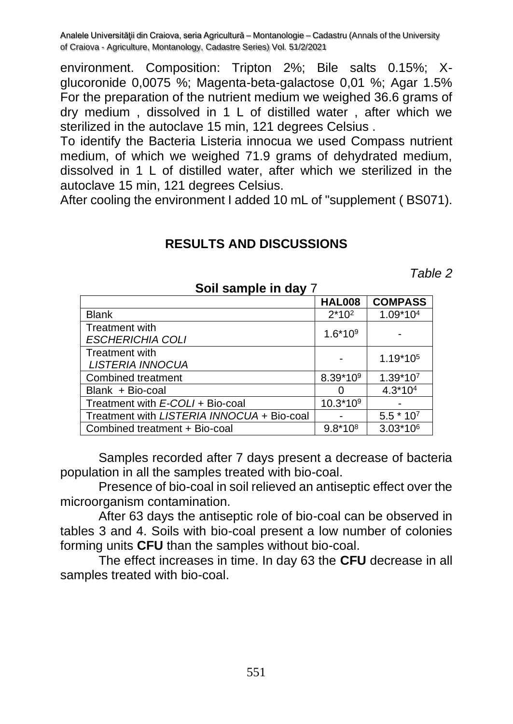Analele Universităţii din Craiova, seria Agricultură – Montanologie – Cadastru (Annals of the University of Craiova - Agriculture, Montanology, Cadastre Series) Vol. 51/2/2021

environment. Composition: Tripton 2%; Bile salts 0.15%; Xglucoronide 0,0075 %; Magenta-beta-galactose 0,01 %; Agar 1.5% For the preparation of the nutrient medium we weighed 36.6 grams of dry medium , dissolved in 1 L of distilled water , after which we sterilized in the autoclave 15 min, 121 degrees Celsius .

To identify the Bacteria Listeria innocua we used Compass nutrient medium, of which we weighed 71.9 grams of dehydrated medium, dissolved in 1 L of distilled water, after which we sterilized in the autoclave 15 min, 121 degrees Celsius.

After cooling the environment I added 10 mL of "supplement ( BS071).

### **RESULTS AND DISCUSSIONS**

*Table 2*

|                                            | <b>HAL008</b> | <b>COMPASS</b>       |
|--------------------------------------------|---------------|----------------------|
| <b>Blank</b>                               | $2*10^2$      | 1.09*104             |
| Treatment with<br><b>ESCHERICHIA COLI</b>  | $1.6*109$     |                      |
| Treatment with<br>LISTERIA INNOCUA         |               | 1.19*10 <sup>5</sup> |
| Combined treatment                         | 8.39*109      | 1.39*107             |
| Blank + Bio-coal                           |               | $4.3*104$            |
| Treatment with E-COLI + Bio-coal           | $10.3*109$    |                      |
| Treatment with LISTERIA INNOCUA + Bio-coal |               | $5.5 * 107$          |
| Combined treatment + Bio-coal              | $9.8*108$     | $3.03*106$           |

**Soil sample in day** 7

Samples recorded after 7 days present a decrease of bacteria population in all the samples treated with bio-coal.

Presence of bio-coal in soil relieved an antiseptic effect over the microorganism contamination.

After 63 days the antiseptic role of bio-coal can be observed in tables 3 and 4. Soils with bio-coal present a low number of colonies forming units **CFU** than the samples without bio-coal.

The effect increases in time. In day 63 the **CFU** decrease in all samples treated with bio-coal.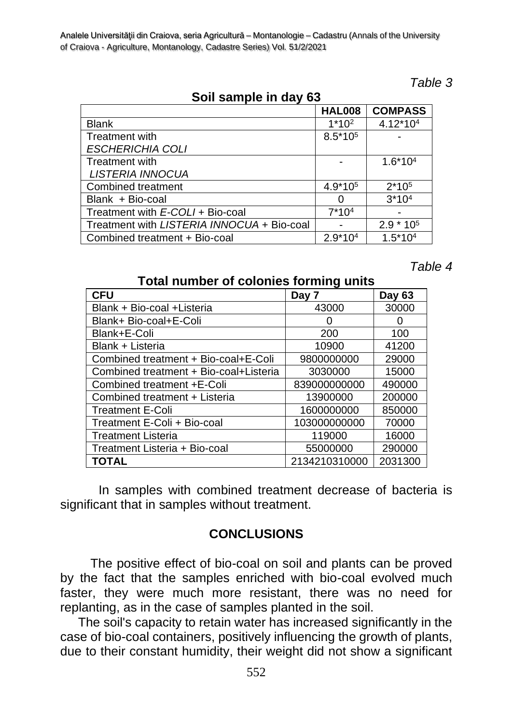| Table |  |
|-------|--|
|-------|--|

| Soil sample in day 63                      |                     |                |  |  |
|--------------------------------------------|---------------------|----------------|--|--|
|                                            | <b>HAL008</b>       | <b>COMPASS</b> |  |  |
| <b>Blank</b>                               | $1*102$             | 4.12*104       |  |  |
| <b>Treatment with</b>                      | 8.5*10 <sup>5</sup> |                |  |  |
| <b>ESCHERICHIA COLI</b>                    |                     |                |  |  |
| <b>Treatment with</b>                      |                     | $1.6*104$      |  |  |
| <b>LISTERIA INNOCUA</b>                    |                     |                |  |  |
| Combined treatment                         | 4.9*10 <sup>5</sup> | $2*105$        |  |  |
| Blank + Bio-coal                           |                     | $3*104$        |  |  |
| Treatment with E-COLI + Bio-coal           | $7*104$             |                |  |  |
| Treatment with LISTERIA INNOCUA + Bio-coal |                     | $2.9 * 105$    |  |  |
| Combined treatment + Bio-coal              | $2.9*104$           | $1.5*104$      |  |  |

*Table 4*

#### **Total number of colonies forming units**

| <b>CFU</b>                             | Day 7         | Day 63       |
|----------------------------------------|---------------|--------------|
| Blank + Bio-coal + Listeria            | 43000         | 30000        |
| Blank+ Bio-coal+E-Coli                 |               | $\mathbf{0}$ |
| Blank+E-Coli                           | 200           | 100          |
| Blank + Listeria                       | 10900         | 41200        |
| Combined treatment + Bio-coal+E-Coli   | 9800000000    | 29000        |
| Combined treatment + Bio-coal+Listeria | 3030000       | 15000        |
| Combined treatment +E-Coli             | 839000000000  | 490000       |
| Combined treatment + Listeria          | 13900000      | 200000       |
| <b>Treatment E-Coli</b>                | 1600000000    | 850000       |
| Treatment E-Coli + Bio-coal            | 103000000000  | 70000        |
| <b>Treatment Listeria</b>              | 119000        | 16000        |
| Treatment Listeria + Bio-coal          | 55000000      | 290000       |
| TOTAL                                  | 2134210310000 | 2031300      |

In samples with combined treatment decrease of bacteria is significant that in samples without treatment.

## **CONCLUSIONS**

The positive effect of bio-coal on soil and plants can be proved by the fact that the samples enriched with bio-coal evolved much faster, they were much more resistant, there was no need for replanting, as in the case of samples planted in the soil.

 The soil's capacity to retain water has increased significantly in the case of bio-coal containers, positively influencing the growth of plants, due to their constant humidity, their weight did not show a significant